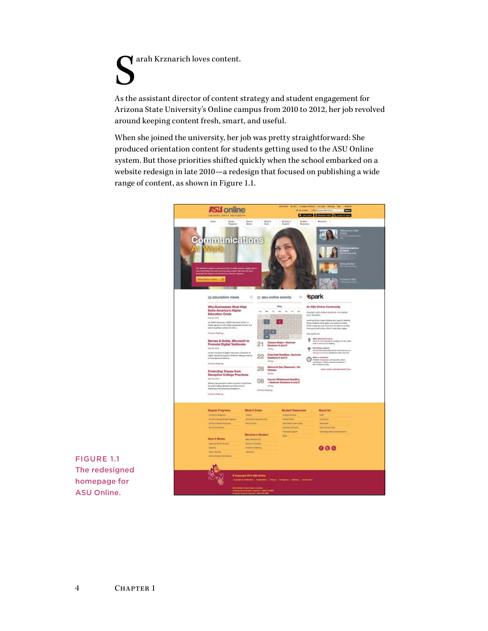S arah Krznarich loves content.

As the assistant director of content strategy and student engagement for Arizona State University's Online campus from 2010 to 2012, her job revolved around keeping content fresh, smart, and useful.

When she joined the university, her job was pretty straightforward: She produced orientation content for students getting used to the ASU Online system. But those priorities shifted quickly when the school embarked on a website redesign in late 2010—a redesign that focused on publishing a wide range of content, as shown in Figure 1.1.



FIGURE 1.1 The redesigned homepage for ASU Online.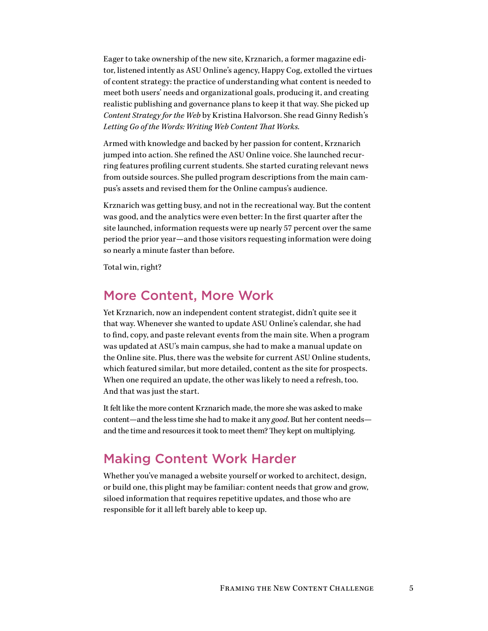Eager to take ownership of the new site, Krznarich, a former magazine editor, listened intently as ASU Online's agency, Happy Cog, extolled the virtues of content strategy: the practice of understanding what content is needed to meet both users' needs and organizational goals, producing it, and creating realistic publishing and governance plans to keep it that way. She picked up *Content Strategy for the Web* by Kristina Halvorson. She read Ginny Redish's Letting Go of the Words: Writing Web Content That Works.

Armed with knowledge and backed by her passion for content, Krznarich jumped into action. She refined the ASU Online voice. She launched recurring features profiling current students. She started curating relevant news from outside sources. She pulled program descriptions from the main campus's assets and revised them for the Online campus's audience.

Krznarich was getting busy, and not in the recreational way. But the content was good, and the analytics were even better: In the first quarter after the site launched, information requests were up nearly 57 percent over the same period the prior year—and those visitors requesting information were doing so nearly a minute faster than before.

Total win, right?

### More Content, More Work

Yet Krznarich, now an independent content strategist, didn't quite see it that way. Whenever she wanted to update ASU Online's calendar, she had to find, copy, and paste relevant events from the main site. When a program was updated at ASU's main campus, she had to make a manual update on the Online site. Plus, there was the website for current ASU Online students, which featured similar, but more detailed, content as the site for prospects. When one required an update, the other was likely to need a refresh, too. And that was just the start.

It felt like the more content Krznarich made, the more she was asked to make content—and the less time she had to make it any *good*. But her content needs and the time and resources it took to meet them? They kept on multiplying.

### Making Content Work Harder

Whether you've managed a website yourself or worked to architect, design, or build one, this plight may be familiar: content needs that grow and grow, siloed information that requires repetitive updates, and those who are responsible for it all left barely able to keep up.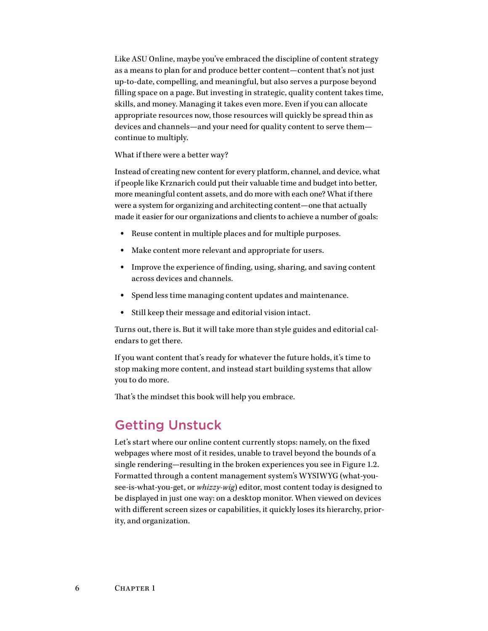Like ASU Online, maybe you've embraced the discipline of content strategy as a means to plan for and produce better content—content that's not just up-to-date, compelling, and meaningful, but also serves a purpose beyond filling space on a page. But investing in strategic, quality content takes time, skills, and money. Managing it takes even more. Even if you can allocate appropriate resources now, those resources will quickly be spread thin as devices and channels—and your need for quality content to serve them continue to multiply.

What if there were a better way?

Instead of creating new content for every platform, channel, and device, what if people like Krznarich could put their valuable time and budget into better, more meaningful content assets, and do more with each one? What if there were a system for organizing and architecting content—one that actually made it easier for our organizations and clients to achieve a number of goals:

- Reuse content in multiple places and for multiple purposes.
- Make content more relevant and appropriate for users.
- Improve the experience of finding, using, sharing, and saving content across devices and channels.
- Spend less time managing content updates and maintenance.
- Still keep their message and editorial vision intact.

Turns out, there is. But it will take more than style guides and editorial calendars to get there.

If you want content that's ready for whatever the future holds, it's time to stop making more content, and instead start building systems that allow you to do more.

That's the mindset this book will help you embrace.

# Getting Unstuck

Let's start where our online content currently stops: namely, on the fixed webpages where most of it resides, unable to travel beyond the bounds of a single rendering—resulting in the broken experiences you see in Figure 1.2. Formatted through a content management system's WYSIWYG (what-yousee-is-what-you-get, or *whizzy-wig*) editor, most content today is designed to be displayed in just one way: on a desktop monitor. When viewed on devices with different screen sizes or capabilities, it quickly loses its hierarchy, priority, and organization.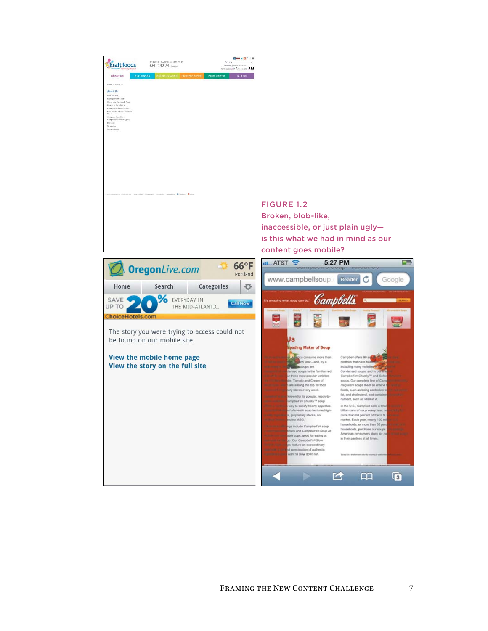

 $\overline{7}$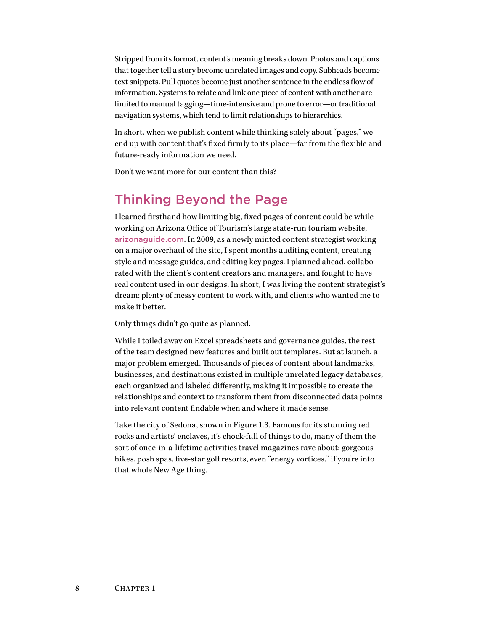Stripped from its format, content's meaning breaks down. Photos and captions that together tell a story become unrelated images and copy. Subheads become text snippets. Pull quotes become just another sentence in the endless 1ow of information. Systems to relate and link one piece of content with another are limited to manual tagging—time-intensive and prone to error—or traditional navigation systems, which tend to limit relationships to hierarchies.

In short, when we publish content while thinking solely about "pages," we end up with content that's fixed firmly to its place—far from the flexible and future-ready information we need.

Don't we want more for our content than this?

### Thinking Beyond the Page

I learned firsthand how limiting big, fixed pages of content could be while working on Arizona Office of Tourism's large state-run tourism website, arizonaguide.com. In 2009, as a newly minted content strategist working on a major overhaul of the site, I spent months auditing content, creating style and message guides, and editing key pages. I planned ahead, collaborated with the client's content creators and managers, and fought to have real content used in our designs. In short, I was living the content strategist's dream: plenty of messy content to work with, and clients who wanted me to make it better.

Only things didn't go quite as planned.

While I toiled away on Excel spreadsheets and governance guides, the rest of the team designed new features and built out templates. But at launch, a major problem emerged. Thousands of pieces of content about landmarks, businesses, and destinations existed in multiple unrelated legacy databases, each organized and labeled differently, making it impossible to create the relationships and context to transform them from disconnected data points into relevant content findable when and where it made sense.

Take the city of Sedona, shown in Figure 1.3. Famous for its stunning red rocks and artists' enclaves, it's chock-full of things to do, many of them the sort of once-in-a-lifetime activities travel magazines rave about: gorgeous hikes, posh spas, five-star golf resorts, even "energy vortices," if you're into that whole New Age thing.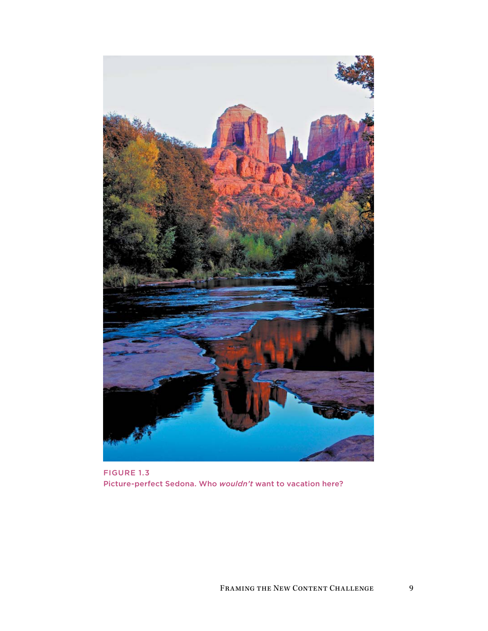

**FIGURE 1.3** Picture-perfect Sedona. Who wouldn't want to vacation here?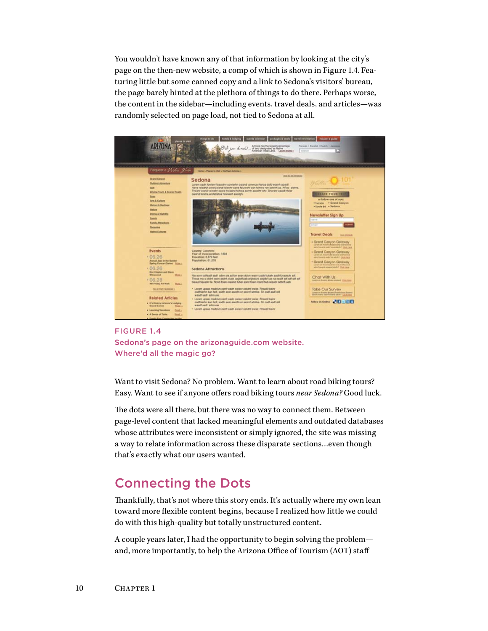You wouldn't have known any of that information by looking at the city's page on the then-new website, a comp of which is shown in Figure 1.4. Featuring little but some canned copy and a link to Sedona's visitors' bureau, the page barely hinted at the plethora of things to do there. Perhaps worse, the content in the sidebar—including events, travel deals, and articles—was randomly selected on page load, not tied to Sedona at all.



### FIGURE 1.4 Sedona's page on the arizonaguide.com website. Where'd all the magic go?

Want to visit Sedona? No problem. Want to learn about road biking tours? Easy. Want to see if anyone offers road biking tours *near Sedona?* Good luck.

The dots were all there, but there was no way to connect them. Between page-level content that lacked meaningful elements and outdated databases whose attributes were inconsistent or simply ignored, the site was missing a way to relate information across these disparate sections…even though that's exactly what our users wanted.

## Connecting the Dots

Thankfully, that's not where this story ends. It's actually where my own lean toward more flexible content begins, because I realized how little we could do with this high-quality but totally unstructured content.

A couple years later, I had the opportunity to begin solving the problem and, more importantly, to help the Arizona Office of Tourism (AOT) staff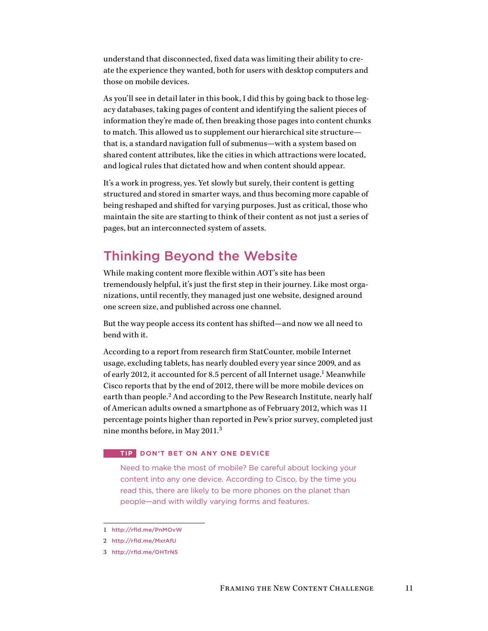understand that disconnected, fixed data was limiting their ability to create the experience they wanted, both for users with desktop computers and those on mobile devices.

As you'll see in detail later in this book, I did this by going back to those legacy databases, taking pages of content and identifying the salient pieces of information they're made of, then breaking those pages into content chunks to match. This allowed us to supplement our hierarchical site structure that is, a standard navigation full of submenus—with a system based on shared content attributes, like the cities in which attractions were located, and logical rules that dictated how and when content should appear.

It's a work in progress, yes. Yet slowly but surely, their content is getting structured and stored in smarter ways, and thus becoming more capable of being reshaped and shifted for varying purposes. Just as critical, those who maintain the site are starting to think of their content as not just a series of pages, but an interconnected system of assets.

### Thinking Beyond the Website

While making content more flexible within AOT's site has been tremendously helpful, it's just the first step in their journey. Like most organizations, until recently, they managed just one website, designed around one screen size, and published across one channel.

But the way people access its content has shifted—and now we all need to bend with it.

According to a report from research firm StatCounter, mobile Internet usage, excluding tablets, has nearly doubled every year since 2009, and as of early 2012, it accounted for 8.5 percent of all Internet usage.<sup>1</sup> Meanwhile Cisco reports that by the end of 2012, there will be more mobile devices on earth than people.<sup>2</sup> And according to the Pew Research Institute, nearly half of American adults owned a smartphone as of February 2012, which was 11 percentage points higher than reported in Pew's prior survey, completed just nine months before, in May 2011.<sup>3</sup>

#### **TIP DON'T BET ON ANY ONE DEVICE**

Need to make the most of mobile? Be careful about locking your content into any one device. According to Cisco, by the time you read this, there are likely to be more phones on the planet than people—and with wildly varying forms and features.

<sup>1</sup> http://rfld.me/PnMOvW

<sup>2</sup> http://rfld.me/MxrAfU

<sup>3</sup> http://rfld.me/OHTrN5